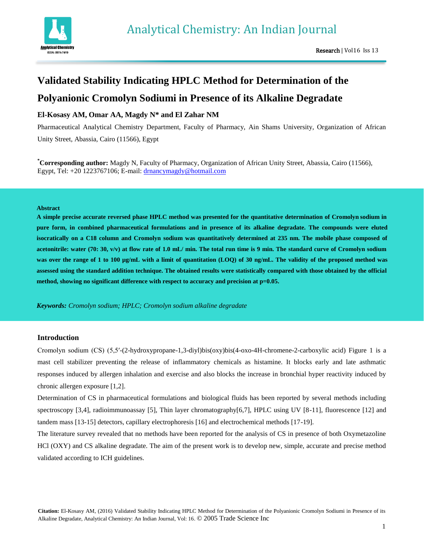

# **Validated Stability Indicating HPLC Method for Determination of the**

## **Polyanionic Cromolyn Sodiumi in Presence of its Alkaline Degradate**

## **El-Kosasy AM, Omar AA, Magdy N\* and El Zahar NM**

Pharmaceutical Analytical Chemistry Department, Faculty of Pharmacy, Ain Shams University, Organization of African Unity Street, Abassia, Cairo (11566), Egypt

**\*Corresponding author:** Magdy N, Faculty of Pharmacy, Organization of African Unity Street, Abassia, Cairo (11566), Egypt, Tel: +20 1223767106; E-mail: [drnancymagdy@hotmail.com](mailto:drnancymagdy@hotmail.com)

## **Abstract**

**A simple precise accurate reversed phase HPLC method was presented for the quantitative determination of Cromolyn sodium in pure form, in combined pharmaceutical formulations and in presence of its alkaline degradate. The compounds were eluted isocratically on a C18 column and Cromolyn sodium was quantitatively determined at 235 nm. The mobile phase composed of acetonitrile: water (70: 30, v/v) at flow rate of 1.0 mL/ min. The total run time is 9 min. The standard curve of Cromolyn sodium**  was over the range of 1 to 100 µg/mL with a limit of quantitation (LOQ) of 30 ng/mL. The validity of the proposed method was **assessed using the standard addition technique. The obtained results were statistically compared with those obtained by the official method, showing no significant difference with respect to accuracy and precision at p=0.05.**

*Keywords: Cromolyn sodium; HPLC; Cromolyn sodium alkaline degradate*

## **Introduction**

Cromolyn sodium (CS) (5,5′-(2-hydroxypropane-1,3-diyl)bis(oxy)bis(4-oxo-4H-chromene-2-carboxylic acid) Figure 1 is a mast cell stabilizer preventing the release of inflammatory chemicals as histamine. It blocks early and late asthmatic responses induced by allergen inhalation and exercise and also blocks the increase in bronchial hyper reactivity induced by chronic allergen exposure [1,2].

Determination of CS in pharmaceutical formulations and biological fluids has been reported by several methods including spectroscopy [3,4], radioimmunoassay [5], Thin layer chromatography[6,7], HPLC using UV [8-11], fluorescence [12] and tandem mass [13-15] detectors, capillary electrophoresis [16] and electrochemical methods [17-19].

The literature survey revealed that no methods have been reported for the analysis of CS in presence of both Oxymetazoline HCl (OXY) and CS alkaline degradate. The aim of the present work is to develop new, simple, accurate and precise method validated according to ICH guidelines.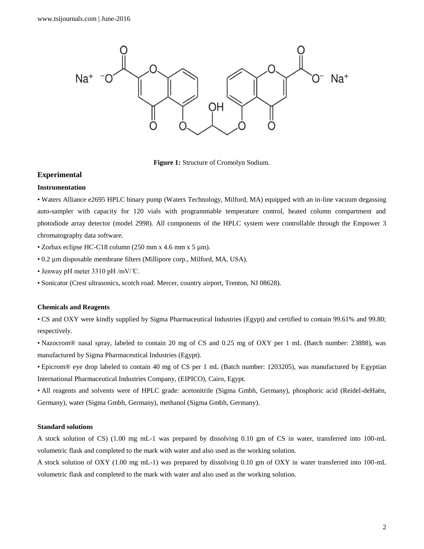

**Figure 1:** Structure of Cromolyn Sodium.

## **Experimental**

#### **Instrumentation**

• Waters Alliance e2695 HPLC binary pump (Waters Technology, Milford, MA) equipped with an in-line vacuum degassing auto-sampler with capacity for 120 vials with programmable temperature control, heated column compartment and photodiode array detector (model 2998). All components of the HPLC system were controllable through the Empower 3 chromatography data software.

- Zorbax eclipse HC-C18 column (250 mm x 4.6 mm x 5 µm).
- 0.2 µm disposable membrane filters (Millipore corp., Milford, MA, USA).
- Jenway pH meter  $3310$  pH /mV/°C.

• Sonicator (Crest ultrasonics, scotch road. Mercer, country airport, Trenton, NJ 08628).

#### **Chemicals and Reagents**

• CS and OXY were kindly supplied by Sigma Pharmaceutical Industries (Egypt) and certified to contain 99.61% and 99.80; respectively.

• Nazocrom® nasal spray, labeled to contain 20 mg of CS and 0.25 mg of OXY per 1 mL (Batch number: 23888), was manufactured by Sigma Pharmaceutical Industries (Egypt).

• Epicrom® eye drop labeled to contain 40 mg of CS per 1 mL (Batch number: 1203205), was manufactured by Egyptian International Pharmaceutical Industries Company, (EIPICO), Cairo, Egypt.

• All reagents and solvents were of HPLC grade: acetonitrile (Sigma Gmbh, Germany), phosphoric acid (Reidel-deHaën, Germany), water (Sigma Gmbh, Germany), methanol (Sigma Gmbh, Germany).

## **Standard solutions**

A stock solution of CS) (1.00 mg mL-1 was prepared by dissolving 0.10 gm of CS in water, transferred into 100-mL volumetric flask and completed to the mark with water and also used as the working solution.

A stock solution of OXY (1.00 mg mL-1) was prepared by dissolving 0.10 gm of OXY in water transferred into 100-mL volumetric flask and completed to the mark with water and also used as the working solution.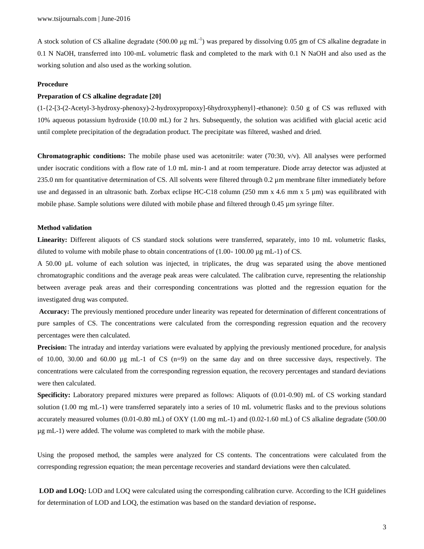A stock solution of CS alkaline degradate (500.00  $\mu$ g mL<sup>-1</sup>) was prepared by dissolving 0.05 gm of CS alkaline degradate in 0.1 N NaOH, transferred into 100-mL volumetric flask and completed to the mark with 0.1 N NaOH and also used as the working solution and also used as the working solution.

## **Procedure**

## **Preparation of CS alkaline degradate [20]**

(1-{2-[3-(2-Acetyl-3-hydroxy-phenoxy)-2-hydroxypropoxy]-6hydroxyphenyl}-ethanone): 0.50 g of CS was refluxed with 10% aqueous potassium hydroxide (10.00 mL) for 2 hrs. Subsequently, the solution was acidified with glacial acetic acid until complete precipitation of the degradation product. The precipitate was filtered, washed and dried.

**Chromatographic conditions:** The mobile phase used was acetonitrile: water  $(70:30, v/v)$ . All analyses were performed under isocratic conditions with a flow rate of 1.0 mL min-1 and at room temperature. Diode array detector was adjusted at 235.0 nm for quantitative determination of CS. All solvents were filtered through 0.2 µm membrane filter immediately before use and degassed in an ultrasonic bath. Zorbax eclipse HC-C18 column (250 mm x 4.6 mm x 5 µm) was equilibrated with mobile phase. Sample solutions were diluted with mobile phase and filtered through 0.45 µm syringe filter.

## **Method validation**

**Linearity:** Different aliquots of CS standard stock solutions were transferred, separately, into 10 mL volumetric flasks, diluted to volume with mobile phase to obtain concentrations of  $(1.00-100.00 \mu g \text{ mL}-1)$  of CS.

A 50.00 µL volume of each solution was injected, in triplicates, the drug was separated using the above mentioned chromatographic conditions and the average peak areas were calculated. The calibration curve, representing the relationship between average peak areas and their corresponding concentrations was plotted and the regression equation for the investigated drug was computed.

**Accuracy:** The previously mentioned procedure under linearity was repeated for determination of different concentrations of pure samples of CS. The concentrations were calculated from the corresponding regression equation and the recovery percentages were then calculated.

**Precision:** The intraday and interday variations were evaluated by applying the previously mentioned procedure, for analysis of 10.00, 30.00 and 60.00 µg mL-1 of CS  $(n=9)$  on the same day and on three successive days, respectively. The concentrations were calculated from the corresponding regression equation, the recovery percentages and standard deviations were then calculated.

**Specificity:** Laboratory prepared mixtures were prepared as follows: Aliquots of (0.01-0.90) mL of CS working standard solution (1.00 mg mL-1) were transferred separately into a series of 10 mL volumetric flasks and to the previous solutions accurately measured volumes (0.01-0.80 mL) of OXY (1.00 mg mL-1) and (0.02-1.60 mL) of CS alkaline degradate (500.00 µg mL-1) were added. The volume was completed to mark with the mobile phase.

Using the proposed method, the samples were analyzed for CS contents. The concentrations were calculated from the corresponding regression equation; the mean percentage recoveries and standard deviations were then calculated.

**LOD and LOQ:** LOD and LOQ were calculated using the corresponding calibration curve. According to the ICH guidelines for determination of LOD and LOQ, the estimation was based on the standard deviation of response**.**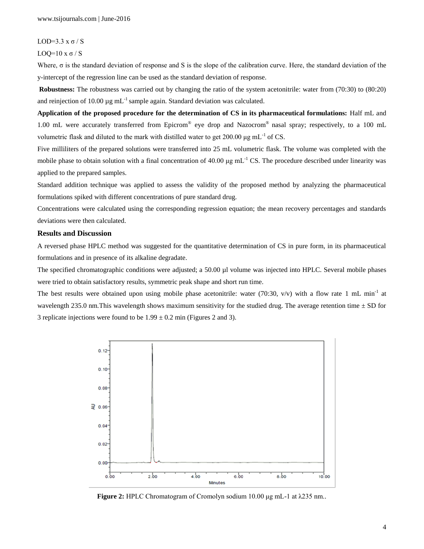LOD= $3.3 \times \sigma / S$ 

LOQ= $10 x \sigma / S$ 

Where,  $\sigma$  is the standard deviation of response and S is the slope of the calibration curve. Here, the standard deviation of the y-intercept of the regression line can be used as the standard deviation of response.

**Robustness:** The robustness was carried out by changing the ratio of the system acetonitrile: water from (70:30) to (80:20) and reinjection of 10.00  $\mu$ g mL<sup>-1</sup> sample again. Standard deviation was calculated.

**Application of the proposed procedure for the determination of CS in its pharmaceutical formulations:** Half mL and 1.00 mL were accurately transferred from Epicrom® eye drop and Nazocrom® nasal spray; respectively, to a 100 mL volumetric flask and diluted to the mark with distilled water to get 200.00  $\mu$ g mL<sup>-1</sup> of CS.

Five milliliters of the prepared solutions were transferred into 25 mL volumetric flask. The volume was completed with the mobile phase to obtain solution with a final concentration of 40.00  $\mu$ g mL<sup>-1</sup> CS. The procedure described under linearity was applied to the prepared samples.

Standard addition technique was applied to assess the validity of the proposed method by analyzing the pharmaceutical formulations spiked with different concentrations of pure standard drug.

Concentrations were calculated using the corresponding regression equation; the mean recovery percentages and standards deviations were then calculated.

## **Results and Discussion**

A reversed phase HPLC method was suggested for the quantitative determination of CS in pure form, in its pharmaceutical formulations and in presence of its alkaline degradate.

The specified chromatographic conditions were adjusted; a 50.00 µl volume was injected into HPLC. Several mobile phases were tried to obtain satisfactory results, symmetric peak shape and short run time.

The best results were obtained upon using mobile phase acetonitrile: water (70:30, v/v) with a flow rate 1 mL min<sup>-1</sup> at wavelength 235.0 nm. This wavelength shows maximum sensitivity for the studied drug. The average retention time  $\pm$  SD for 3 replicate injections were found to be  $1.99 \pm 0.2$  min (Figures 2 and 3).



**Figure 2:** HPLC Chromatogram of Cromolyn sodium 10.00 μg mL-1 at λ235 nm.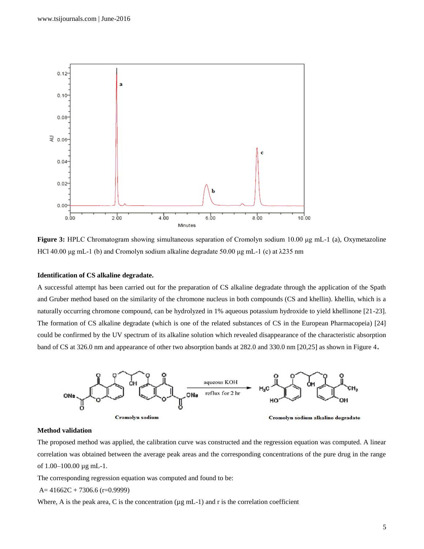

**Figure 3:** HPLC Chromatogram showing simultaneous separation of Cromolyn sodium 10.00 μg mL-1 (a), Oxymetazoline HCl 40.00 μg mL-1 (b) and Cromolyn sodium alkaline degradate 50.00 μg mL-1 (c) at λ235 nm

## **Identification of CS alkaline degradate.**

A successful attempt has been carried out for the preparation of CS alkaline degradate through the application of the Spath and Gruber method based on the similarity of the chromone nucleus in both compounds (CS and khellin). khellin, which is a naturally occurring chromone compound, can be hydrolyzed in 1% aqueous potassium hydroxide to yield khellinone [21-23]. The formation of CS alkaline degradate (which is one of the related substances of CS in the European Pharmacopeia) [24] could be confirmed by the UV spectrum of its alkaline solution which revealed disappearance of the characteristic absorption band of CS at 326.0 nm and appearance of other two absorption bands at 282.0 and 330.0 nm [20,25] as shown in Figure 4**.**



## **Method validation**

The proposed method was applied, the calibration curve was constructed and the regression equation was computed. A linear correlation was obtained between the average peak areas and the corresponding concentrations of the pure drug in the range of 1.00–100.00 µg mL-1.

The corresponding regression equation was computed and found to be:

$$
A = 41662C + 7306.6 (r=0.9999)
$$

Where, A is the peak area, C is the concentration ( $\mu$ g mL $-1$ ) and r is the correlation coefficient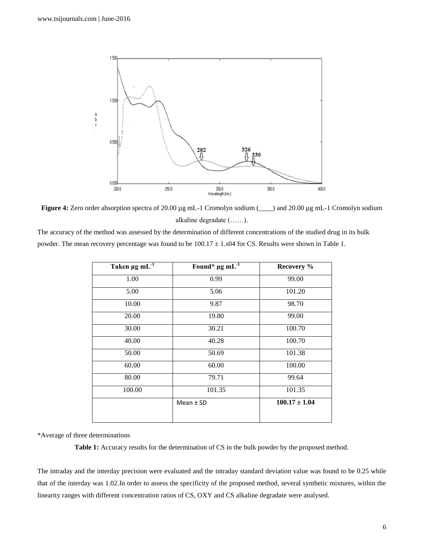

**Figure 4:** Zero order absorption spectra of 20.00 µg mL-1 Cromolyn sodium (\_\_\_\_) and 20.00 µg mL-1 Cromolyn sodium alkaline degradate  $(\ldots)$ .

The accuracy of the method was assessed by the determination of different concentrations of the studied drug in its bulk powder. The mean recovery percentage was found to be 100.17 ± 1.s04 for CS. Results were shown in Table 1.

| Taken $\mu$ g m $L^1$ | Found* $\mu$ g mL <sup>-1</sup> | Recovery %        |
|-----------------------|---------------------------------|-------------------|
| 1.00                  | 0.99                            | 99.00             |
| 5.00                  | 5.06                            | 101.20            |
| 10.00                 | 9.87                            | 98.70             |
| 20.00                 | 19.80                           | 99.00             |
| 30.00                 | 30.21                           | 100.70            |
| 40.00                 | 40.28                           | 100.70            |
| 50.00                 | 50.69                           | 101.38            |
| 60.00                 | 60.00                           | 100.00            |
| 80.00                 | 79.71                           | 99.64             |
| 100.00                | 101.35                          | 101.35            |
|                       | Mean $±$ SD                     | $100.17 \pm 1.04$ |
|                       |                                 |                   |

\*Average of three determinations

**Table 1:** Accuracy results for the determination of CS in the bulk powder by the proposed method.

The intraday and the interday precision were evaluated and the intraday standard deviation value was found to be 0.25 while that of the interday was 1.02.In order to assess the specificity of the proposed method, several synthetic mixtures, within the linearity ranges with different concentration ratios of CS, OXY and CS alkaline degradate were analysed.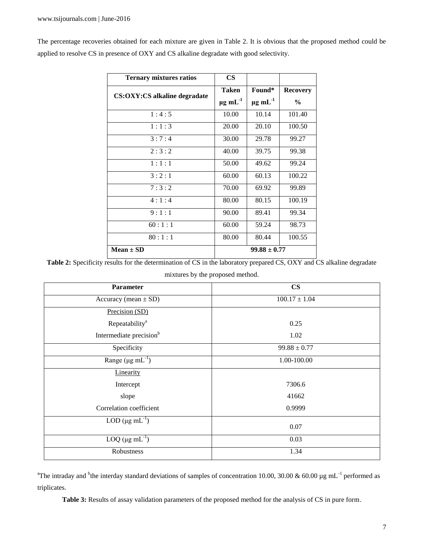The percentage recoveries obtained for each mixture are given in Table 2. It is obvious that the proposed method could be applied to resolve CS in presence of OXY and CS alkaline degradate with good selectivity.

| <b>Ternary mixtures ratios</b> | $\mathbf{CS}$      |                    |                 |
|--------------------------------|--------------------|--------------------|-----------------|
|                                | <b>Taken</b>       | Found*             | <b>Recovery</b> |
| CS:OXY:CS alkaline degradate   | $\mu g$ mL $^{-1}$ | $\mu$ g m $L^{-1}$ | $\frac{0}{0}$   |
| 1:4:5                          | 10.00              | 10.14              | 101.40          |
| 1:1:3                          | 20.00              | 20.10              | 100.50          |
| 3:7:4                          | 30.00              | 29.78              | 99.27           |
| 2:3:2                          | 40.00              | 39.75              | 99.38           |
| 1:1:1                          | 50.00              | 49.62              | 99.24           |
| 3:2:1                          | 60.00              | 60.13              | 100.22          |
| 7:3:2                          | 70.00              | 69.92              | 99.89           |
| 4:1:4                          | 80.00              | 80.15              | 100.19          |
| 9:1:1                          | 90.00              | 89.41              | 99.34           |
| 60:1:1                         | 60.00              | 59.24              | 98.73           |
| 80:1:1                         | 80.00              | 80.44              | 100.55          |
| $Mean \pm SD$                  | $99.88 \pm 0.77$   |                    |                 |

**Table 2:** Specificity results for the determination of CS in the laboratory prepared CS, OXY and CS alkaline degradate mixtures by the proposed method.

| <b>Parameter</b>                    | $\mathbf{CS}$     |  |
|-------------------------------------|-------------------|--|
| Accuracy (mean $\pm$ SD)            | $100.17 \pm 1.04$ |  |
| Precision (SD)                      |                   |  |
| Repeatability <sup>a</sup>          | 0.25              |  |
| Intermediate precision <sup>b</sup> | 1.02              |  |
| Specificity                         | $99.88 \pm 0.77$  |  |
| Range ( $\mu$ g mL <sup>-1</sup> )  | 1.00-100.00       |  |
| Linearity                           |                   |  |
| Intercept                           | 7306.6            |  |
| slope                               | 41662             |  |
| Correlation coefficient             | 0.9999            |  |
| LOD ( $\mu$ g mL <sup>-1</sup> )    | 0.07              |  |
| $LOQ$ (µg mL <sup>-1</sup> )        | 0.03              |  |
| Robustness                          | 1.34              |  |

<sup>a</sup>The intraday and <sup>b</sup>the interday standard deviations of samples of concentration 10.00, 30.00 & 60.00 µg mL<sup>-1</sup> performed as triplicates.

**Table 3:** Results of assay validation parameters of the proposed method for the analysis of CS in pure form.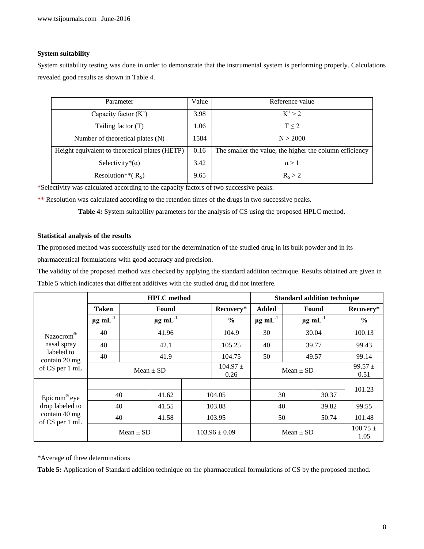## **System suitability**

System suitability testing was done in order to demonstrate that the instrumental system is performing properly. Calculations revealed good results as shown in Table 4.

| Parameter                                      | Value | Reference value                                         |
|------------------------------------------------|-------|---------------------------------------------------------|
| Capacity factor $(K')$                         | 3.98  | K' > 2                                                  |
| Tailing factor (T)                             | 1.06  | T < 2                                                   |
| Number of theoretical plates (N)               | 1584  | N > 2000                                                |
| Height equivalent to theoretical plates (HETP) | 0.16  | The smaller the value, the higher the column efficiency |
| Selectivity <sup>*</sup> (a)                   | 3.42  | a > 1                                                   |
| Resolution**( $R_S$ )                          | 9.65  | $R_s > 2$                                               |

\*Selectivity was calculated according to the capacity factors of two successive peaks.

\*\* Resolution was calculated according to the retention times of the drugs in two successive peaks.

**Table 4:** System suitability parameters for the analysis of CS using the proposed HPLC method.

## **Statistical analysis of the results**

The proposed method was successfully used for the determination of the studied drug in its bulk powder and in its

pharmaceutical formulations with good accuracy and precision.

The validity of the proposed method was checked by applying the standard addition technique. Results obtained are given in Table 5 which indicates that different additives with the studied drug did not interfere.

|                                 | <b>HPLC</b> method |               |                    | <b>Standard addition technique</b> |               |                    |                      |           |               |
|---------------------------------|--------------------|---------------|--------------------|------------------------------------|---------------|--------------------|----------------------|-----------|---------------|
|                                 | <b>Taken</b>       | Found         |                    | Recovery*                          | Added         | Found              |                      | Recovery* |               |
|                                 | $\mu$ g m $L^{-1}$ |               | $\mu$ g m $L^{-1}$ |                                    | $\frac{6}{6}$ | $\mu$ g m $L^{-1}$ | $\mu$ g mL $^{-1}$   |           | $\frac{6}{6}$ |
| Nazocrom <sup>®</sup>           | 40                 | 41.96         |                    | 104.9                              | 30            |                    | 30.04                | 100.13    |               |
| nasal spray                     | 40                 |               | 42.1               |                                    | 105.25        | 40                 |                      | 39.77     | 99.43         |
| labeled to<br>contain 20 mg     | 40                 |               | 41.9               |                                    | 104.75        | 50                 |                      | 49.57     | 99.14         |
| of CS per 1 mL                  |                    | Mean $\pm$ SD |                    | $104.97 \pm$<br>0.26               | $Mean \pm SD$ |                    | 99.57 $\pm$<br>0.51  |           |               |
|                                 |                    |               |                    |                                    |               |                    |                      |           | 101.23        |
| Epicrom <sup>®</sup> eye        |                    | 40<br>41.62   |                    |                                    | 30<br>104.05  |                    |                      | 30.37     |               |
| drop labeled to                 |                    | 40<br>41.55   |                    |                                    | 103.88        |                    | 40                   |           | 99.55         |
| contain 40 mg<br>of CS per 1 mL | 40                 |               | 41.58              |                                    | 103.95        | 50                 |                      | 50.74     | 101.48        |
|                                 | $Mean \pm SD$      |               |                    | $103.96 \pm 0.09$                  | $Mean \pm SD$ |                    | $100.75 \pm$<br>1.05 |           |               |

\*Average of three determinations

**Table 5:** Application of Standard addition technique on the pharmaceutical formulations of CS by the proposed method.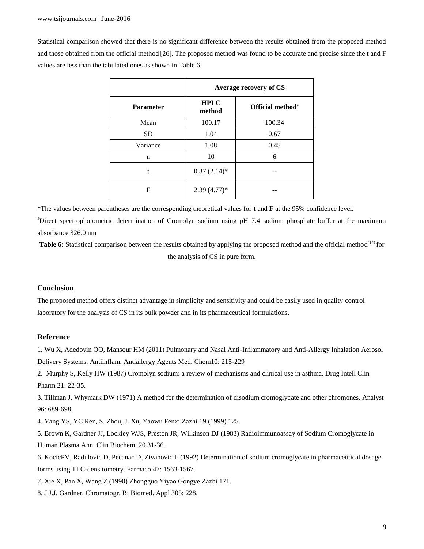Statistical comparison showed that there is no significant difference between the results obtained from the proposed method and those obtained from the official method [26]. The proposed method was found to be accurate and precise since the t and F values are less than the tabulated ones as shown in Table 6.

|                  | Average recovery of CS |                              |  |
|------------------|------------------------|------------------------------|--|
| <b>Parameter</b> | <b>HPLC</b><br>method  | Official method <sup>a</sup> |  |
| Mean             | 100.17                 | 100.34                       |  |
| <b>SD</b>        | 1.04                   | 0.67                         |  |
| Variance         | 1.08                   | 0.45                         |  |
| n                | 10                     | 6                            |  |
| t                | $0.37(2.14)$ *         |                              |  |
| F                | $2.39(4.77)*$          |                              |  |

\*The values between parentheses are the corresponding theoretical values for **t** and **F** at the 95% confidence level.

<sup>a</sup>Direct spectrophotometric determination of Cromolyn sodium using pH 7.4 sodium phosphate buffer at the maximum absorbance 326.0 nm

Table 6: Statistical comparison between the results obtained by applying the proposed method and the official method<sup>(14)</sup> for the analysis of CS in pure form.

## **Conclusion**

The proposed method offers distinct advantage in simplicity and sensitivity and could be easily used in quality control laboratory for the analysis of CS in its bulk powder and in its pharmaceutical formulations.

## **Reference**

1. Wu X, Adedoyin OO, Mansour HM (2011) Pulmonary and Nasal Anti-Inflammatory and Anti-Allergy Inhalation Aerosol Delivery Systems. Antiinflam. Antiallergy Agents Med. Chem10: 215-229

2. Murphy S, Kelly HW (1987) Cromolyn sodium: a review of mechanisms and clinical use in asthma. Drug Intell Clin Pharm 21: 22-35.

3. Tillman J, Whymark DW (1971) A method for the determination of disodium cromoglycate and other chromones. Analyst 96: 689-698.

4. Yang YS, YC Ren, S. Zhou, J. Xu, Yaowu Fenxi Zazhi 19 (1999) 125.

5. Brown K, Gardner JJ, Lockley WJS, Preston JR, Wilkinson DJ (1983) Radioimmunoassay of Sodium Cromoglycate in Human Plasma Ann. Clin Biochem. 20 31-36.

6. KocicPV, Radulovic D, Pecanac D, Zivanovic L (1992) Determination of sodium cromoglycate in pharmaceutical dosage forms using TLC-densitometry. Farmaco 47: 1563-1567.

7. Xie X, Pan X, Wang Z (1990) Zhongguo Yiyao Gongye Zazhi 171.

8. J.J.J. Gardner, Chromatogr. B: Biomed. Appl 305: 228.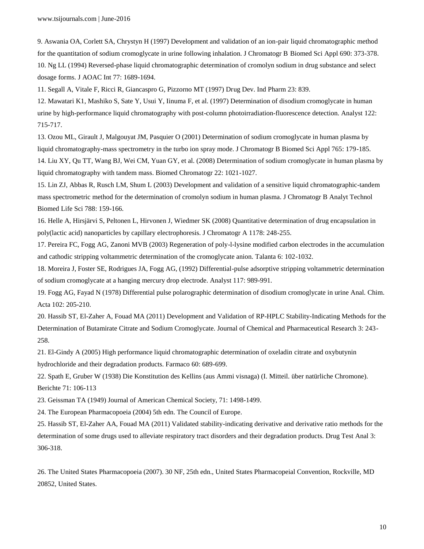9. Aswania OA, Corlett SA, Chrystyn H (1997) Development and validation of an ion-pair liquid chromatographic method for the quantitation of sodium cromoglycate in urine following inhalation. J Chromatogr B Biomed Sci Appl 690: 373-378. 10. Ng LL (1994) Reversed-phase liquid chromatographic determination of cromolyn sodium in drug substance and select dosage forms. J AOAC Int 77: 1689-1694.

11. Segall A, Vitale F, Ricci R, Giancaspro G, Pizzorno MT (1997) Drug Dev. Ind Pharm 23: 839.

12. Mawatari K1, Mashiko S, Sate Y, Usui Y, Iinuma F, et al. (1997) Determination of disodium cromoglycate in human urine by high-performance liquid chromatography with post-column photoirradiation-fluorescence detection. Analyst 122: 715-717.

13. Ozou ML, Girault J, Malgouyat JM, Pasquier O (2001) Determination of sodium cromoglycate in human plasma by liquid chromatography-mass spectrometry in the turbo ion spray mode. J Chromatogr B Biomed Sci Appl 765: 179-185. 14. Liu XY, Qu TT, Wang BJ, Wei CM, Yuan GY, et al. (2008) Determination of sodium cromoglycate in human plasma by liquid chromatography with tandem mass. Biomed Chromatogr 22: 1021-1027.

15. Lin ZJ, Abbas R, Rusch LM, Shum L (2003) Development and validation of a sensitive liquid chromatographic-tandem mass spectrometric method for the determination of cromolyn sodium in human plasma. J Chromatogr B Analyt Technol Biomed Life Sci 788: 159-166.

16. Helle A, Hirsjärvi S, Peltonen L, Hirvonen J, Wiedmer SK (2008) Quantitative determination of drug encapsulation in poly(lactic acid) nanoparticles by capillary electrophoresis. J Chromatogr A 1178: 248-255.

17. Pereira FC, Fogg AG, Zanoni MVB (2003) Regeneration of poly-l-lysine modified carbon electrodes in the accumulation and cathodic stripping voltammetric determination of the cromoglycate anion. Talanta 6: 102-1032.

18. Moreira J, Foster SE, Rodrigues JA, Fogg AG, (1992) Differential-pulse adsorptive stripping voltammetric determination of sodium cromoglycate at a hanging mercury drop electrode. Analyst 117: 989-991.

19. Fogg AG, Fayad N (1978) Differential pulse polarographic determination of disodium cromoglycate in urine Anal. Chim. Acta 102: 205-210.

20. Hassib ST, El-Zaher A, Fouad MA (2011) Development and Validation of RP-HPLC Stability-Indicating Methods for the Determination of Butamirate Citrate and Sodium Cromoglycate. Journal of Chemical and Pharmaceutical Research 3: 243- 258.

21. El-Gindy A (2005) High performance liquid chromatographic determination of oxeladin citrate and oxybutynin hydrochloride and their degradation products. Farmaco 60: 689-699.

22. Spath E, Gruber W (1938) Die Konstitution des Kellins (aus Ammi visnaga) (I. Mitteil. über natürliche Chromone). Berichte 71: 106-113

23. Geissman TA (1949) Journal of American Chemical Society, 71: 1498-1499.

24. The European Pharmacopoeia (2004) 5th edn. The Council of Europe.

25. Hassib ST, El-Zaher AA, Fouad MA (2011) Validated stability-indicating derivative and derivative ratio methods for the determination of some drugs used to alleviate respiratory tract disorders and their degradation products. Drug Test Anal 3: 306-318.

26. The United States Pharmacopoeia (2007). 30 NF, 25th edn., United States Pharmacopeial Convention, Rockville, MD 20852, United States.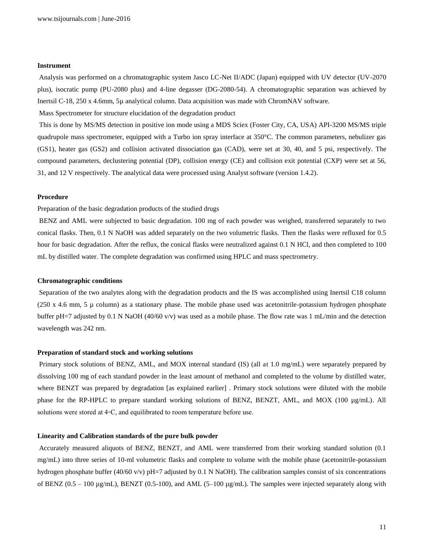#### **Instrument**

Analysis was performed on a chromatographic system Jasco LC-Net II/ADC (Japan) equipped with UV detector (UV-2070 plus), isocratic pump (PU-2080 plus) and 4-line degasser (DG-2080-54). A chromatographic separation was achieved by Inertsil C-18, 250 x 4.6mm, 5µ analytical column. Data acquisition was made with ChromNAV software.

Mass Spectrometer for structure elucidation of the degradation product

This is done by MS/MS detection in positive ion mode using a MDS Sciex (Foster City, CA, USA) API-3200 MS/MS triple quadrupole mass spectrometer, equipped with a Turbo ion spray interface at 350°C. The common parameters, nebulizer gas (GS1), heater gas (GS2) and collision activated dissociation gas (CAD), were set at 30, 40, and 5 psi, respectively. The compound parameters, declustering potential (DP), collision energy (CE) and collision exit potential (CXP) were set at 56, 31, and 12 V respectively. The analytical data were processed using Analyst software (version 1.4.2).

#### **Procedure**

Preparation of the basic degradation products of the studied drugs

BENZ and AML were subjected to basic degradation. 100 mg of each powder was weighed, transferred separately to two conical flasks. Then, 0.1 N NaOH was added separately on the two volumetric flasks. Then the flasks were refluxed for 0.5 hour for basic degradation. After the reflux, the conical flasks were neutralized against 0.1 N HCl, and then completed to 100 mL by distilled water. The complete degradation was confirmed using HPLC and mass spectrometry.

#### **Chromatographic conditions**

Separation of the two analytes along with the degradation products and the IS was accomplished using Inertsil C18 column (250 x 4.6 mm, 5  $\mu$  column) as a stationary phase. The mobile phase used was acetonitrile-potassium hydrogen phosphate buffer pH=7 adjusted by 0.1 N NaOH (40/60 v/v) was used as a mobile phase. The flow rate was 1 mL/min and the detection wavelength was 242 nm.

#### **Preparation of standard stock and working solutions**

Primary stock solutions of BENZ, AML, and MOX internal standard (IS) (all at 1.0 mg/mL) were separately prepared by dissolving 100 mg of each standard powder in the least amount of methanol and completed to the volume by distilled water, where BENZT was prepared by degradation [as explained earlier] . Primary stock solutions were diluted with the mobile phase for the RP-HPLC to prepare standard working solutions of BENZ, BENZT, AML, and MOX (100 µg/mL). All solutions were stored at  $4 ∘C, and equilibrated to room temperature before use.$ 

#### **Linearity and Calibration standards of the pure bulk powder**

Accurately measured aliquots of BENZ, BENZT, and AML were transferred from their working standard solution (0.1 mg/mL) into three series of 10-ml volumetric flasks and complete to volume with the mobile phase (acetonitrile-potassium hydrogen phosphate buffer (40/60 v/v) pH=7 adjusted by 0.1 N NaOH). The calibration samples consist of six concentrations of BENZ  $(0.5 - 100 \text{ µg/mL})$ , BENZT  $(0.5 - 100)$ , and AML  $(5 - 100 \text{ µg/mL})$ . The samples were injected separately along with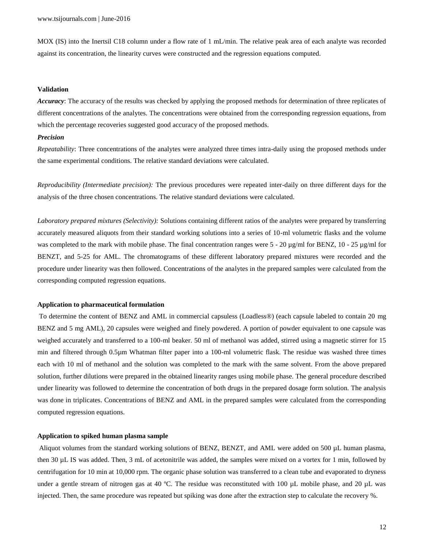MOX (IS) into the Inertsil C18 column under a flow rate of 1 mL/min. The relative peak area of each analyte was recorded against its concentration, the linearity curves were constructed and the regression equations computed.

#### **Validation**

*Accuracy*: The accuracy of the results was checked by applying the proposed methods for determination of three replicates of different concentrations of the analytes. The concentrations were obtained from the corresponding regression equations, from which the percentage recoveries suggested good accuracy of the proposed methods.

## *Precision*

*Repeatability*: Three concentrations of the analytes were analyzed three times intra-daily using the proposed methods under the same experimental conditions. The relative standard deviations were calculated.

*Reproducibility (Intermediate precision):* The previous procedures were repeated inter-daily on three different days for the analysis of the three chosen concentrations. The relative standard deviations were calculated.

*Laboratory prepared mixtures (Selectivity):* Solutions containing different ratios of the analytes were prepared by transferring accurately measured aliquots from their standard working solutions into a series of 10-ml volumetric flasks and the volume was completed to the mark with mobile phase. The final concentration ranges were  $5 - 20 \mu g/ml$  for BENZ,  $10 - 25 \mu g/ml$  for BENZT, and 5-25 for AML. The chromatograms of these different laboratory prepared mixtures were recorded and the procedure under linearity was then followed. Concentrations of the analytes in the prepared samples were calculated from the corresponding computed regression equations.

## **Application to pharmaceutical formulation**

To determine the content of BENZ and AML in commercial capsuless (Loadless®) (each capsule labeled to contain 20 mg BENZ and 5 mg AML), 20 capsules were weighed and finely powdered. A portion of powder equivalent to one capsule was weighed accurately and transferred to a 100-ml beaker. 50 ml of methanol was added, stirred using a magnetic stirrer for 15 min and filtered through 0.5µm Whatman filter paper into a 100-ml volumetric flask. The residue was washed three times each with 10 ml of methanol and the solution was completed to the mark with the same solvent. From the above prepared solution, further dilutions were prepared in the obtained linearity ranges using mobile phase. The general procedure described under linearity was followed to determine the concentration of both drugs in the prepared dosage form solution. The analysis was done in triplicates. Concentrations of BENZ and AML in the prepared samples were calculated from the corresponding computed regression equations.

#### **Application to spiked human plasma sample**

Aliquot volumes from the standard working solutions of BENZ, BENZT, and AML were added on 500 µL human plasma, then 30 µL IS was added. Then, 3 mL of acetonitrile was added, the samples were mixed on a vortex for 1 min, followed by centrifugation for 10 min at 10,000 rpm. The organic phase solution was transferred to a clean tube and evaporated to dryness under a gentle stream of nitrogen gas at 40 °C. The residue was reconstituted with 100 µL mobile phase, and 20 µL was injected. Then, the same procedure was repeated but spiking was done after the extraction step to calculate the recovery %.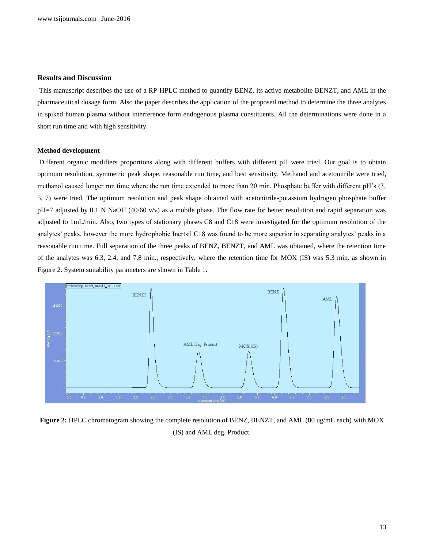## **Results and Discussion**

This manuscript describes the use of a RP-HPLC method to quantify BENZ, its active metabolite BENZT, and AML in the pharmaceutical dosage form. Also the paper describes the application of the proposed method to determine the three analytes in spiked human plasma without interference form endogenous plasma constituents. All the determinations were done in a short run time and with high sensitivity.

#### **Method development**

Different organic modifiers proportions along with different buffers with different pH were tried. Our goal is to obtain optimum resolution, symmetric peak shape, reasonable run time, and best sensitivity. Methanol and acetonitrile were tried, methanol caused longer run time where the run time extended to more than 20 min. Phosphate buffer with different pH's  $(3, 1)$ 5, 7) were tried. The optimum resolution and peak shape obtained with acetonitrile-potassium hydrogen phosphate buffer pH=7 adjusted by 0.1 N NaOH (40/60 v/v) as a mobile phase. The flow rate for better resolution and rapid separation was adjusted to 1mL/min. Also, two types of stationary phases C8 and C18 were investigated for the optimum resolution of the analytes' peaks, however the more hydrophobic Inertsil C18 was found to be more superior in separating analytes' peaks in a reasonable run time. Full separation of the three peaks of BENZ, BENZT, and AML was obtained, where the retention time of the analytes was 6.3, 2.4, and 7.8 min., respectively, where the retention time for MOX (IS) was 5.3 min. as shown in Figure 2. System suitability parameters are shown in Table 1.



**Figure 2:** HPLC chromatogram showing the complete resolution of BENZ, BENZT, and AML (80 ug/mL each) with MOX (IS) and AML deg. Product.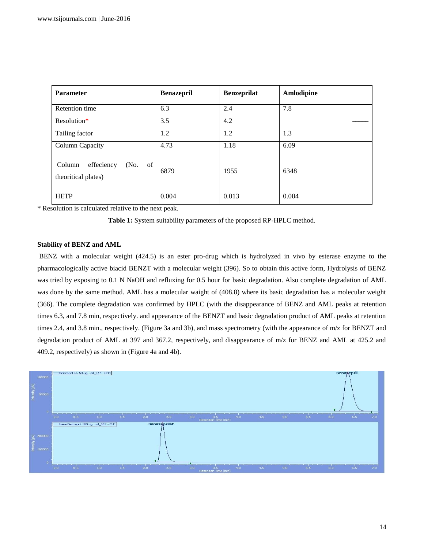| <b>Parameter</b>                                          | <b>Benazepril</b> | <b>Benzeprilat</b> | Amlodipine |
|-----------------------------------------------------------|-------------------|--------------------|------------|
| <b>Retention time</b>                                     | 6.3               | 2.4                | 7.8        |
| Resolution*                                               | 3.5               | 4.2                |            |
| Tailing factor                                            | 1.2               | 1.2                | 1.3        |
| Column Capacity                                           | 4.73              | 1.18               | 6.09       |
| of<br>effeciency<br>(No.<br>Column<br>theoritical plates) | 6879              | 1955               | 6348       |
| <b>HETP</b>                                               | 0.004             | 0.013              | 0.004      |

\* Resolution is calculated relative to the next peak.



## **Stability of BENZ and AML**

BENZ with a molecular weight (424.5) is an ester pro-drug which is hydrolyzed in vivo by esterase enzyme to the pharmacologically active biacid BENZT with a molecular weight (396). So to obtain this active form, Hydrolysis of BENZ was tried by exposing to 0.1 N NaOH and refluxing for 0.5 hour for basic degradation. Also complete degradation of AML was done by the same method. AML has a molecular waight of (408.8) where its basic degradation has a molecular weight (366). The complete degradation was confirmed by HPLC (with the disappearance of BENZ and AML peaks at retention times 6.3, and 7.8 min, respectively. and appearance of the BENZT and basic degradation product of AML peaks at retention times 2.4, and 3.8 min., respectively. (Figure 3a and 3b), and mass spectrometry (with the appearance of m/z for BENZT and degradation product of AML at 397 and 367.2, respectively, and disappearance of m/z for BENZ and AML at 425.2 and 409.2, respectively) as shown in (Figure 4a and 4b).

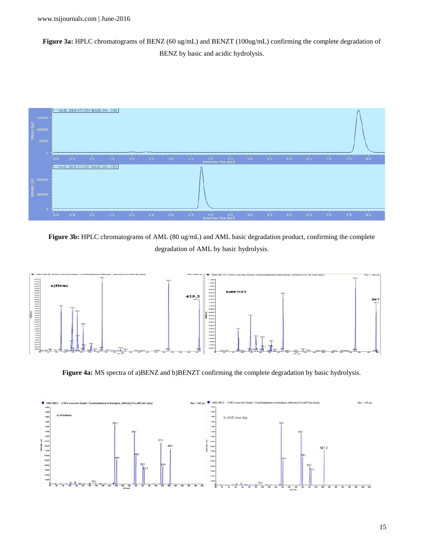**Figure 3a:** HPLC chromatograms of BENZ (60 ug/mL) and BENZT (100ug/mL) confirming the complete degradation of BENZ by basic and acidic hydrolysis.



**Figure 3b:** HPLC chromatograms of AML (80 ug/mL) and AML basic degradation product, confirming the complete degradation of AML by basic hydrolysis.



**Figure 4a:** MS spectra of a)BENZ and b)BENZT confirming the complete degradation by basic hydrolysis.

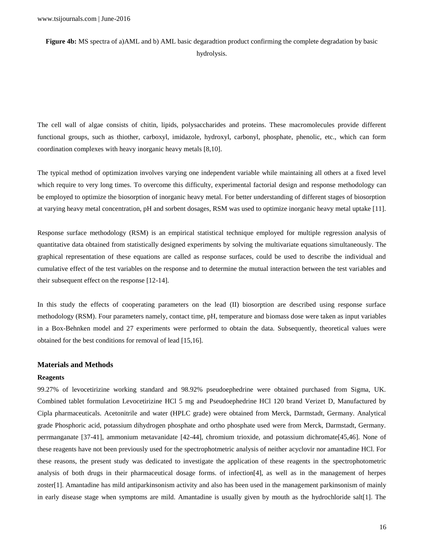**Figure 4b:** MS spectra of a)AML and b) AML basic degaradtion product confirming the complete degradation by basic hydrolysis.

The cell wall of algae consists of chitin, lipids, polysaccharides and proteins. These macromolecules provide different functional groups, such as thiother, carboxyl, imidazole, hydroxyl, carbonyl, phosphate, phenolic, etc., which can form coordination complexes with heavy inorganic heavy metals [8,10].

The typical method of optimization involves varying one independent variable while maintaining all others at a fixed level which require to very long times. To overcome this difficulty, experimental factorial design and response methodology can be employed to optimize the biosorption of inorganic heavy metal. For better understanding of different stages of biosorption at varying heavy metal concentration, pH and sorbent dosages, RSM was used to optimize inorganic heavy metal uptake [11].

Response surface methodology (RSM) is an empirical statistical technique employed for multiple regression analysis of quantitative data obtained from statistically designed experiments by solving the multivariate equations simultaneously. The graphical representation of these equations are called as response surfaces, could be used to describe the individual and cumulative effect of the test variables on the response and to determine the mutual interaction between the test variables and their subsequent effect on the response [12-14].

In this study the effects of cooperating parameters on the lead (II) biosorption are described using response surface methodology (RSM). Four parameters namely, contact time, pH, temperature and biomass dose were taken as input variables in a Box-Behnken model and 27 experiments were performed to obtain the data. Subsequently, theoretical values were obtained for the best conditions for removal of lead [15,16].

## **Materials and Methods**

#### **Reagents**

99.27% of levocetirizine working standard and 98.92% pseudoephedrine were obtained purchased from Sigma, UK. Combined tablet formulation Levocetirizine HCl 5 mg and Pseudoephedrine HCl 120 brand Verizet D, Manufactured by Cipla pharmaceuticals. Acetonitrile and water (HPLC grade) were obtained from Merck, Darmstadt, Germany. Analytical grade Phosphoric acid, potassium dihydrogen phosphate and ortho phosphate used were from Merck, Darmstadt, Germany. perrmanganate [37-41], ammonium metavanidate [42-44], chromium trioxide, and potassium dichromate[45,46]. None of these reagents have not been previously used for the spectrophotmetric analysis of neither acyclovir nor amantadine HCl. For these reasons, the present study was dedicated to investigate the application of these reagents in the spectrophotometric analysis of both drugs in their pharmaceutical dosage forms. of infection[4], as well as in the management of herpes zoster[1]. Amantadine has mild antiparkinsonism activity and also has been used in the management parkinsonism of mainly in early disease stage when symptoms are mild. Amantadine is usually given by mouth as the hydrochloride salt[1]. The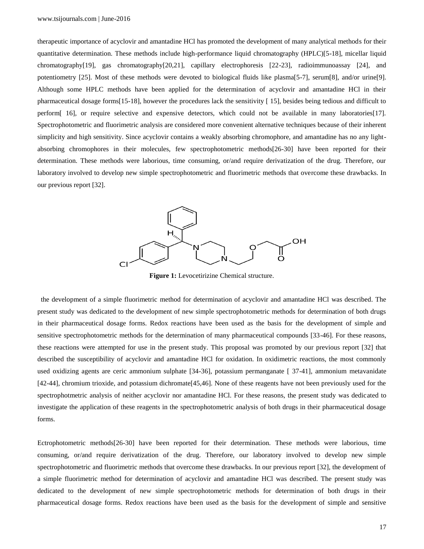therapeutic importance of acyclovir and amantadine HCl has promoted the development of many analytical methods for their quantitative determination. These methods include high-performance liquid chromatography (HPLC)[5-18], micellar liquid chromatography[19], gas chromatography[20,21], capillary electrophoresis [22-23], radioimmunoassay [24], and potentiometry [25]. Most of these methods were devoted to biological fluids like plasma[5-7], serum[8], and/or urine[9]. Although some HPLC methods have been applied for the determination of acyclovir and amantadine HCl in their pharmaceutical dosage forms[15-18], however the procedures lack the sensitivity [ 15], besides being tedious and difficult to perform[ 16], or require selective and expensive detectors, which could not be available in many laboratories[17]. Spectrophotometric and fluorimetric analysis are considered more convenient alternative techniques because of their inherent simplicity and high sensitivity. Since acyclovir contains a weakly absorbing chromophore, and amantadine has no any lightabsorbing chromophores in their molecules, few spectrophotometric methods[26-30] have been reported for their determination. These methods were laborious, time consuming, or/and require derivatization of the drug. Therefore, our laboratory involved to develop new simple spectrophotometric and fluorimetric methods that overcome these drawbacks. In our previous report [32].



**Figure 1:** Levocetirizine Chemical structure.

 the development of a simple fluorimetric method for determination of acyclovir and amantadine HCl was described. The present study was dedicated to the development of new simple spectrophotometric methods for determination of both drugs in their pharmaceutical dosage forms. Redox reactions have been used as the basis for the development of simple and sensitive spectrophotometric methods for the determination of many pharmaceutical compounds [33-46]. For these reasons, these reactions were attempted for use in the present study. This proposal was promoted by our previous report [32] that described the susceptibility of acyclovir and amantadine HCl for oxidation. In oxidimetric reactions, the most commonly used oxidizing agents are ceric ammonium sulphate [34-36], potassium permanganate [ 37-41], ammonium metavanidate [42-44], chromium trioxide, and potassium dichromate[45,46]. None of these reagents have not been previously used for the spectrophotmetric analysis of neither acyclovir nor amantadine HCl. For these reasons, the present study was dedicated to investigate the application of these reagents in the spectrophotometric analysis of both drugs in their pharmaceutical dosage forms.

Ectrophotometric methods[26-30] have been reported for their determination. These methods were laborious, time consuming, or/and require derivatization of the drug. Therefore, our laboratory involved to develop new simple spectrophotometric and fluorimetric methods that overcome these drawbacks. In our previous report [32], the development of a simple fluorimetric method for determination of acyclovir and amantadine HCl was described. The present study was dedicated to the development of new simple spectrophotometric methods for determination of both drugs in their pharmaceutical dosage forms. Redox reactions have been used as the basis for the development of simple and sensitive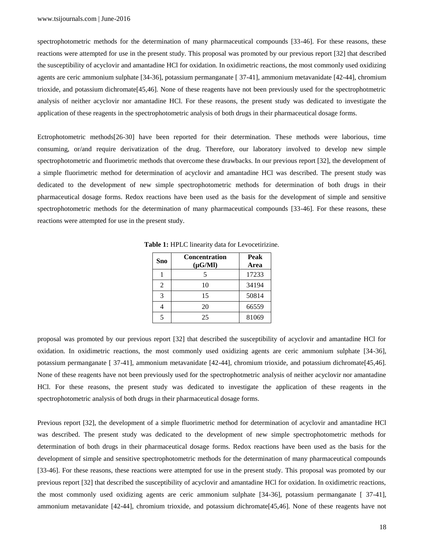spectrophotometric methods for the determination of many pharmaceutical compounds [33-46]. For these reasons, these reactions were attempted for use in the present study. This proposal was promoted by our previous report [32] that described the susceptibility of acyclovir and amantadine HCl for oxidation. In oxidimetric reactions, the most commonly used oxidizing agents are ceric ammonium sulphate [34-36], potassium permanganate [ 37-41], ammonium metavanidate [42-44], chromium trioxide, and potassium dichromate[45,46]. None of these reagents have not been previously used for the spectrophotmetric analysis of neither acyclovir nor amantadine HCl. For these reasons, the present study was dedicated to investigate the application of these reagents in the spectrophotometric analysis of both drugs in their pharmaceutical dosage forms.

Ectrophotometric methods[26-30] have been reported for their determination. These methods were laborious, time consuming, or/and require derivatization of the drug. Therefore, our laboratory involved to develop new simple spectrophotometric and fluorimetric methods that overcome these drawbacks. In our previous report [32], the development of a simple fluorimetric method for determination of acyclovir and amantadine HCl was described. The present study was dedicated to the development of new simple spectrophotometric methods for determination of both drugs in their pharmaceutical dosage forms. Redox reactions have been used as the basis for the development of simple and sensitive spectrophotometric methods for the determination of many pharmaceutical compounds [33-46]. For these reasons, these reactions were attempted for use in the present study.

| Sno            | <b>Concentration</b><br>$(\mu G/Ml)$ | Peak<br>Area |
|----------------|--------------------------------------|--------------|
|                |                                      | 17233        |
| $\mathfrak{D}$ | 10                                   | 34194        |
| 3              | 15                                   | 50814        |
|                | 20                                   | 66559        |
|                | 25                                   | 81069        |

**Table 1:** HPLC linearity data for Levocetirizine.

proposal was promoted by our previous report [32] that described the susceptibility of acyclovir and amantadine HCl for oxidation. In oxidimetric reactions, the most commonly used oxidizing agents are ceric ammonium sulphate [34-36], potassium permanganate [ 37-41], ammonium metavanidate [42-44], chromium trioxide, and potassium dichromate[45,46]. None of these reagents have not been previously used for the spectrophotmetric analysis of neither acyclovir nor amantadine HCl. For these reasons, the present study was dedicated to investigate the application of these reagents in the spectrophotometric analysis of both drugs in their pharmaceutical dosage forms.

Previous report [32], the development of a simple fluorimetric method for determination of acyclovir and amantadine HCl was described. The present study was dedicated to the development of new simple spectrophotometric methods for determination of both drugs in their pharmaceutical dosage forms. Redox reactions have been used as the basis for the development of simple and sensitive spectrophotometric methods for the determination of many pharmaceutical compounds [33-46]. For these reasons, these reactions were attempted for use in the present study. This proposal was promoted by our previous report [32] that described the susceptibility of acyclovir and amantadine HCl for oxidation. In oxidimetric reactions, the most commonly used oxidizing agents are ceric ammonium sulphate [34-36], potassium permanganate [ 37-41], ammonium metavanidate [42-44], chromium trioxide, and potassium dichromate[45,46]. None of these reagents have not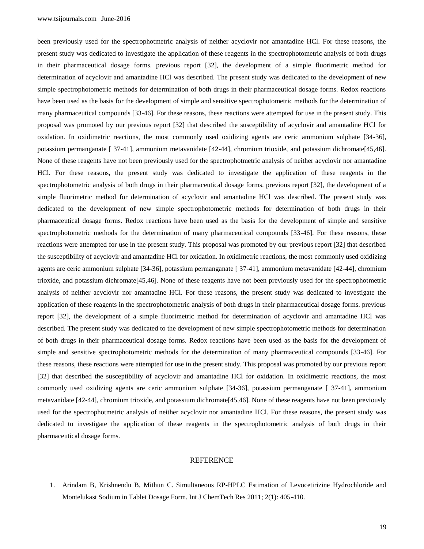been previously used for the spectrophotmetric analysis of neither acyclovir nor amantadine HCl. For these reasons, the present study was dedicated to investigate the application of these reagents in the spectrophotometric analysis of both drugs in their pharmaceutical dosage forms. previous report [32], the development of a simple fluorimetric method for determination of acyclovir and amantadine HCl was described. The present study was dedicated to the development of new simple spectrophotometric methods for determination of both drugs in their pharmaceutical dosage forms. Redox reactions have been used as the basis for the development of simple and sensitive spectrophotometric methods for the determination of many pharmaceutical compounds [33-46]. For these reasons, these reactions were attempted for use in the present study. This proposal was promoted by our previous report [32] that described the susceptibility of acyclovir and amantadine HCl for oxidation. In oxidimetric reactions, the most commonly used oxidizing agents are ceric ammonium sulphate [34-36], potassium permanganate [ 37-41], ammonium metavanidate [42-44], chromium trioxide, and potassium dichromate[45,46]. None of these reagents have not been previously used for the spectrophotmetric analysis of neither acyclovir nor amantadine HCl. For these reasons, the present study was dedicated to investigate the application of these reagents in the spectrophotometric analysis of both drugs in their pharmaceutical dosage forms. previous report [32], the development of a simple fluorimetric method for determination of acyclovir and amantadine HCl was described. The present study was dedicated to the development of new simple spectrophotometric methods for determination of both drugs in their pharmaceutical dosage forms. Redox reactions have been used as the basis for the development of simple and sensitive spectrophotometric methods for the determination of many pharmaceutical compounds [33-46]. For these reasons, these reactions were attempted for use in the present study. This proposal was promoted by our previous report [32] that described the susceptibility of acyclovir and amantadine HCl for oxidation. In oxidimetric reactions, the most commonly used oxidizing agents are ceric ammonium sulphate [34-36], potassium permanganate [ 37-41], ammonium metavanidate [42-44], chromium trioxide, and potassium dichromate[45,46]. None of these reagents have not been previously used for the spectrophotmetric analysis of neither acyclovir nor amantadine HCl. For these reasons, the present study was dedicated to investigate the application of these reagents in the spectrophotometric analysis of both drugs in their pharmaceutical dosage forms. previous report [32], the development of a simple fluorimetric method for determination of acyclovir and amantadine HCl was described. The present study was dedicated to the development of new simple spectrophotometric methods for determination of both drugs in their pharmaceutical dosage forms. Redox reactions have been used as the basis for the development of simple and sensitive spectrophotometric methods for the determination of many pharmaceutical compounds [33-46]. For these reasons, these reactions were attempted for use in the present study. This proposal was promoted by our previous report [32] that described the susceptibility of acyclovir and amantadine HCl for oxidation. In oxidimetric reactions, the most commonly used oxidizing agents are ceric ammonium sulphate [34-36], potassium permanganate [ 37-41], ammonium metavanidate [42-44], chromium trioxide, and potassium dichromate[45,46]. None of these reagents have not been previously used for the spectrophotmetric analysis of neither acyclovir nor amantadine HCl. For these reasons, the present study was dedicated to investigate the application of these reagents in the spectrophotometric analysis of both drugs in their pharmaceutical dosage forms.

## **REFERENCE**

1. Arindam B, Krishnendu B, Mithun C. Simultaneous RP-HPLC Estimation of Levocetirizine Hydrochloride and Montelukast Sodium in Tablet Dosage Form. Int J ChemTech Res 2011; 2(1): 405-410.